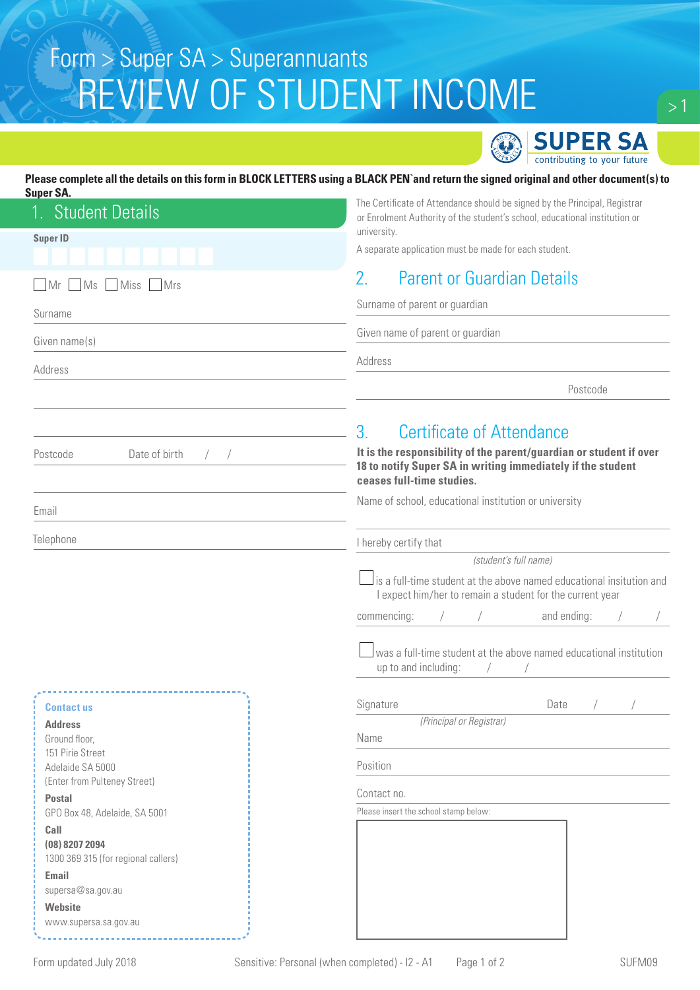# REVIEW OF STUDENT INCOME Form > Super SA > Superannuants



### **Please complete all the details on this form in BLOCK LETTERS using a BLACK PEN`and return the signed original and other document(s) to**

| Super S |  |
|---------|--|
|         |  |

| JUPGI JA<br><b>Student Details</b><br>$1_{-}$         | The Certificate of Attendance should be signed by the Principal, Registrar<br>or Enrolment Authority of the student's school, educational institution or                                                                                                              |  |  |
|-------------------------------------------------------|-----------------------------------------------------------------------------------------------------------------------------------------------------------------------------------------------------------------------------------------------------------------------|--|--|
| <b>Super ID</b>                                       | university.<br>A separate application must be made for each student.                                                                                                                                                                                                  |  |  |
|                                                       |                                                                                                                                                                                                                                                                       |  |  |
| MS<br>Miss Mrs<br>$\Box$ Mr                           | 2.<br><b>Parent or Guardian Details</b>                                                                                                                                                                                                                               |  |  |
| Surname                                               | Surname of parent or guardian                                                                                                                                                                                                                                         |  |  |
| Given name(s)                                         | Given name of parent or guardian                                                                                                                                                                                                                                      |  |  |
| Address                                               | Address                                                                                                                                                                                                                                                               |  |  |
|                                                       | Postcode                                                                                                                                                                                                                                                              |  |  |
|                                                       | 3 <sub>1</sub><br><b>Certificate of Attendance</b>                                                                                                                                                                                                                    |  |  |
| Date of birth<br>Postcode                             | It is the responsibility of the parent/guardian or student if over<br>18 to notify Super SA in writing immediately if the student<br>ceases full-time studies.                                                                                                        |  |  |
| Email                                                 | Name of school, educational institution or university                                                                                                                                                                                                                 |  |  |
| Telephone                                             | I hereby certify that                                                                                                                                                                                                                                                 |  |  |
|                                                       | (student's full name)<br>$\Box$ is a full-time student at the above named educational insitution and<br>I expect him/her to remain a student for the current year<br>and ending:<br>commencing:<br>was a full-time student at the above named educational institution |  |  |
|                                                       | up to and including:                                                                                                                                                                                                                                                  |  |  |
| <b>Contact us</b>                                     | Signature<br>Date                                                                                                                                                                                                                                                     |  |  |
| <b>Address</b>                                        | (Principal or Registrar)                                                                                                                                                                                                                                              |  |  |
| Ground floor,<br>151 Pirie Street                     | Name                                                                                                                                                                                                                                                                  |  |  |
| Adelaide SA 5000                                      | Position                                                                                                                                                                                                                                                              |  |  |
| (Enter from Pulteney Street)                          | Contact no.                                                                                                                                                                                                                                                           |  |  |
| <b>Postal</b><br>GPO Box 48, Adelaide, SA 5001        | Please insert the school stamp below:                                                                                                                                                                                                                                 |  |  |
| Call                                                  |                                                                                                                                                                                                                                                                       |  |  |
| (08) 8207 2094<br>1300 369 315 (for regional callers) |                                                                                                                                                                                                                                                                       |  |  |
| <b>Email</b>                                          |                                                                                                                                                                                                                                                                       |  |  |
| supersa@sa.gov.au                                     |                                                                                                                                                                                                                                                                       |  |  |
| Website<br>www.supersa.sa.gov.au                      |                                                                                                                                                                                                                                                                       |  |  |

<u>. . . . . . . . . . .</u>